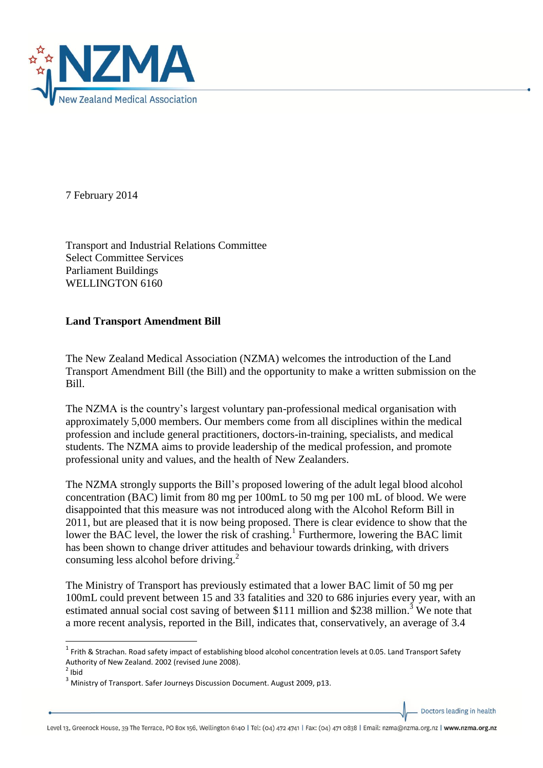

7 February 2014

**.** 

Transport and Industrial Relations Committee Select Committee Services Parliament Buildings WELLINGTON 6160

## **Land Transport Amendment Bill**

The New Zealand Medical Association (NZMA) welcomes the introduction of the Land Transport Amendment Bill (the Bill) and the opportunity to make a written submission on the Bill.

The NZMA is the country's largest voluntary pan-professional medical organisation with approximately 5,000 members. Our members come from all disciplines within the medical profession and include general practitioners, doctors-in-training, specialists, and medical students. The NZMA aims to provide leadership of the medical profession, and promote professional unity and values, and the health of New Zealanders.

The NZMA strongly supports the Bill's proposed lowering of the adult legal blood alcohol concentration (BAC) limit from 80 mg per 100mL to 50 mg per 100 mL of blood. We were disappointed that this measure was not introduced along with the Alcohol Reform Bill in 2011, but are pleased that it is now being proposed. There is clear evidence to show that the lower the BAC level, the lower the risk of crashing.<sup>1</sup> Furthermore, lowering the BAC limit has been shown to change driver attitudes and behaviour towards drinking, with drivers consuming less alcohol before driving.<sup>2</sup>

The Ministry of Transport has previously estimated that a lower BAC limit of 50 mg per 100mL could prevent between 15 and 33 fatalities and 320 to 686 injuries every year, with an estimated annual social cost saving of between \$111 million and \$238 million.<sup>3</sup> We note that a more recent analysis, reported in the Bill, indicates that, conservatively, an average of 3.4

Doctors leading in health

 $^1$  Frith & Strachan. Road safety impact of establishing blood alcohol concentration levels at 0.05. Land Transport Safety Authority of New Zealand. 2002 (revised June 2008).  $<sup>2</sup>$  Ibid</sup>

<sup>&</sup>lt;sup>3</sup> Ministry of Transport. Safer Journeys Discussion Document. August 2009, p13.